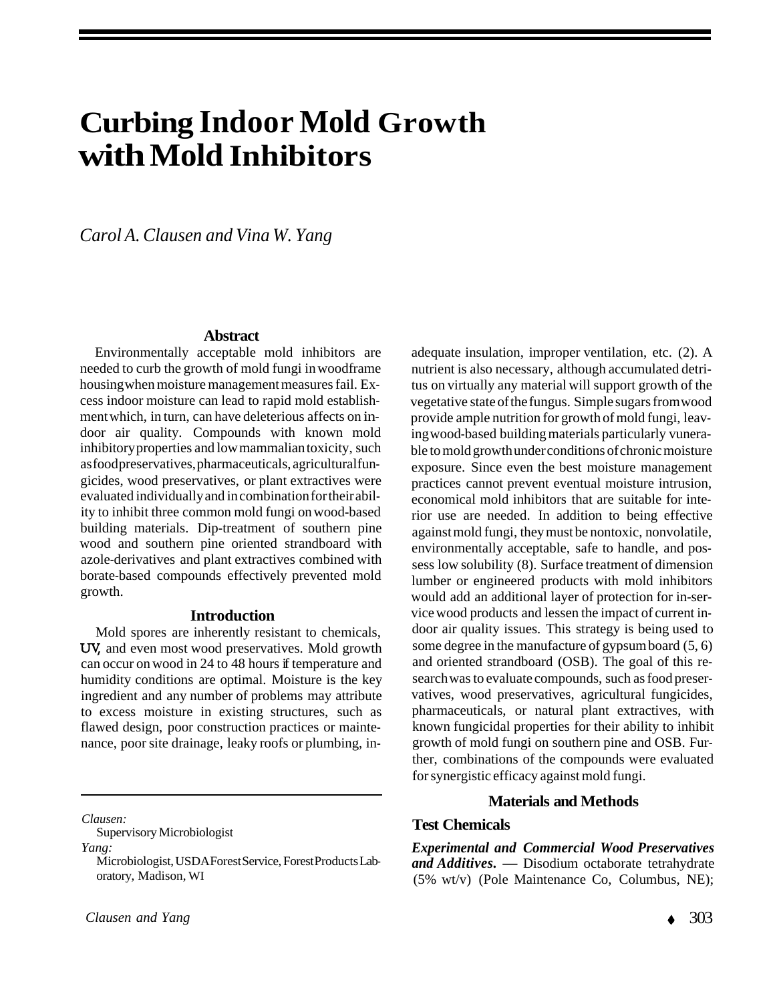# **Curbing Indoor Mold Growth with Mold Inhibitors**

*Carol A. Clausen and Vina W. Yang* 

#### **Abstract**

Environmentally acceptable mold inhibitors are needed to curb the growth of mold fungi in woodframe housing when moisture management measures fail. Excess indoor moisture can lead to rapid mold establishment which, in turn, can have deleterious affects on indoor air quality. Compounds with known mold inhibitory properties and low mammalian toxicity, such as food preservatives, pharmaceuticals, agricultural fungicides, wood preservatives, or plant extractives were evaluated individually and in combination for their ability to inhibit three common mold fungi on wood-based building materials. Dip-treatment of southern pine wood and southern pine oriented strandboard with azole-derivatives and plant extractives combined with borate-based compounds effectively prevented mold growth.

#### **Introduction**

Mold spores are inherently resistant to chemicals, UV, and even most wood preservatives. Mold growth can occur on wood in 24 to 48 hours if temperature and humidity conditions are optimal. Moisture is the key ingredient and any number of problems may attribute to excess moisture in existing structures, such as flawed design, poor construction practices or maintenance, poor site drainage, leaky roofs or plumbing, in-

*Clausen:* 

Supervisory Microbiologist

*Yang:* 

adequate insulation, improper ventilation, etc. (2). A nutrient is also necessary, although accumulated detritus on virtually any material will support growth of the vegetative state of the fungus. Simple sugars from wood provide ample nutrition for growth of mold fungi, leaving wood-based building materials particularly vunerable to mold growth under conditions of chronic moisture exposure. Since even the best moisture management practices cannot prevent eventual moisture intrusion, economical mold inhibitors that are suitable for interior use are needed. In addition to being effective against mold fungi, they must be nontoxic, nonvolatile, environmentally acceptable, safe to handle, and possess low solubility (8). Surface treatment of dimension lumber or engineered products with mold inhibitors would add an additional layer of protection for in-service wood products and lessen the impact of current indoor air quality issues. This strategy is being used to some degree in the manufacture of gypsum board (5, 6) and oriented strandboard (OSB). The goal of this research was to evaluate compounds, such as food preservatives, wood preservatives, agricultural fungicides, pharmaceuticals, or natural plant extractives, with known fungicidal properties for their ability to inhibit growth of mold fungi on southern pine and OSB. Further, combinations of the compounds were evaluated for synergistic efficacy against mold fungi.

#### **Materials and Methods**

### **Test Chemicals**

*Experimental and Commercial Wood Preservatives and Additives. —* Disodium octaborate tetrahydrate (5% wt/v) (Pole Maintenance Co, Columbus, NE);

Microbiologist, USDA Forest Service, Forest Products Laboratory, Madison, WI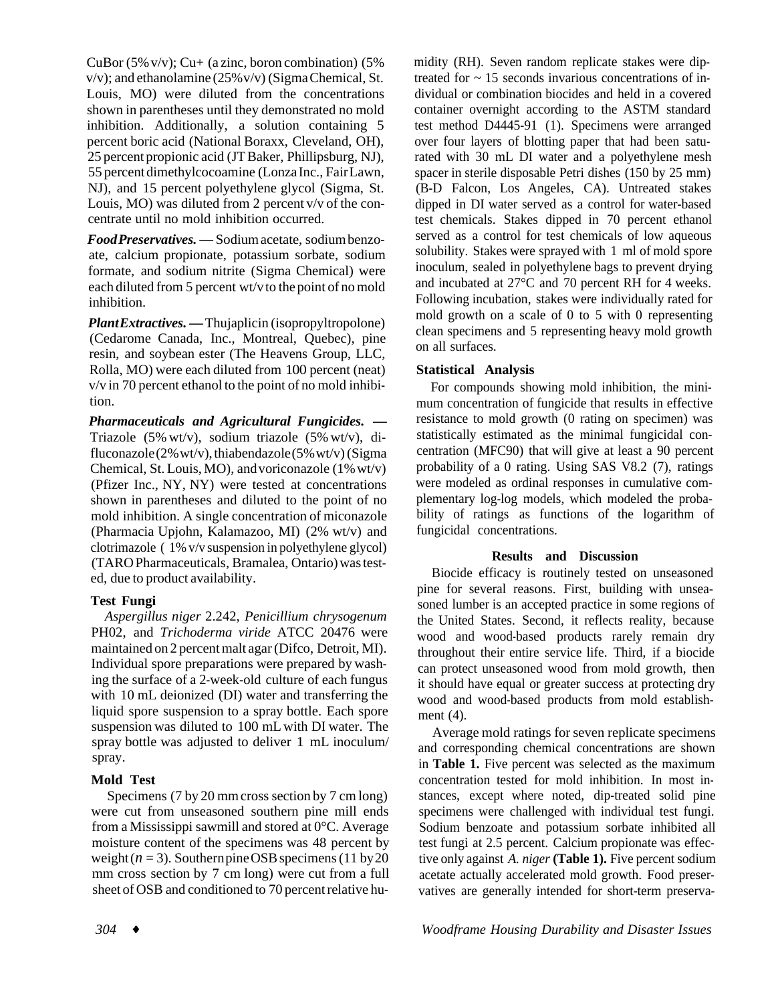CuBor (5% v/v); Cu+ (a zinc, boron combination) (5% v/v); and ethanolamine (25% v/v) (Sigma Chemical, St. Louis, MO) were diluted from the concentrations shown in parentheses until they demonstrated no mold inhibition. Additionally, a solution containing 5 percent boric acid (National Boraxx, Cleveland, OH), 25 percent propionic acid (JT Baker, Phillipsburg, NJ), 55 percent dimethylcocoamine (Lonza Inc., Fair Lawn, NJ), and 15 percent polyethylene glycol (Sigma, St. Louis, MO) was diluted from 2 percent v/v of the concentrate until no mold inhibition occurred.

*Food Preservatives. —* Sodium acetate, sodium benzoate, calcium propionate, potassium sorbate, sodium formate, and sodium nitrite (Sigma Chemical) were each diluted from 5 percent wt/v to the point of no mold inhibition.

*Plant Extractives. —* Thujaplicin (isopropyltropolone) (Cedarome Canada, Inc., Montreal, Quebec), pine resin, and soybean ester (The Heavens Group, LLC, Rolla, MO) were each diluted from 100 percent (neat) v/v in 70 percent ethanol to the point of no mold inhibition.

*Pharmaceuticals and Agricultural Fungicides. —*  Triazole (5% wt/v), sodium triazole (5% wt/v), difluconazole (2% wt/v), thiabendazole (5% wt/v) (Sigma Chemical, St. Louis, MO), and voriconazole (1% wt/v) (Pfizer Inc., NY, NY) were tested at concentrations shown in parentheses and diluted to the point of no mold inhibition. A single concentration of miconazole (Pharmacia Upjohn, Kalamazoo, MI) (2% wt/v) and clotrimazole ( 1% v/v suspension in polyethylene glycol) (TARO Pharmaceuticals, Bramalea, Ontario) was tested, due to product availability.

### **Test Fungi**

*Aspergillus niger* 2.242, *Penicillium chrysogenum*  PH02, and *Trichoderma viride* ATCC 20476 were maintained on 2 percent malt agar (Difco, Detroit, MI). Individual spore preparations were prepared by washing the surface of a 2-week-old culture of each fungus with 10 mL deionized (DI) water and transferring the liquid spore suspension to a spray bottle. Each spore suspension was diluted to 100 mL with DI water. The spray bottle was adjusted to deliver 1 mL inoculum/ spray.

# **Mold Test**

Specimens (7 by 20 mm cross section by 7 cm long) were cut from unseasoned southern pine mill ends from a Mississippi sawmill and stored at 0°C. Average moisture content of the specimens was 48 percent by weight  $(n = 3)$ . Southern pine OSB specimens (11 by 20) mm cross section by 7 cm long) were cut from a full sheet of OSB and conditioned to 70 percent relative humidity (RH). Seven random replicate stakes were diptreated for  $\sim$  15 seconds invarious concentrations of individual or combination biocides and held in a covered container overnight according to the ASTM standard test method D4445-91 (1). Specimens were arranged over four layers of blotting paper that had been saturated with 30 mL DI water and a polyethylene mesh spacer in sterile disposable Petri dishes (150 by 25 mm) (B-D Falcon, Los Angeles, CA). Untreated stakes dipped in DI water served as a control for water-based test chemicals. Stakes dipped in 70 percent ethanol served as a control for test chemicals of low aqueous solubility. Stakes were sprayed with 1 ml of mold spore inoculum, sealed in polyethylene bags to prevent drying and incubated at 27°C and 70 percent RH for 4 weeks. Following incubation, stakes were individually rated for mold growth on a scale of 0 to 5 with 0 representing clean specimens and 5 representing heavy mold growth on all surfaces.

# **Statistical Analysis**

For compounds showing mold inhibition, the minimum concentration of fungicide that results in effective resistance to mold growth (0 rating on specimen) was statistically estimated as the minimal fungicidal concentration (MFC90) that will give at least a 90 percent probability of a 0 rating. Using SAS V8.2 (7), ratings were modeled as ordinal responses in cumulative complementary log-log models, which modeled the probability of ratings as functions of the logarithm of fungicidal concentrations.

# **Results and Discussion**

Biocide efficacy is routinely tested on unseasoned pine for several reasons. First, building with unseasoned lumber is an accepted practice in some regions of the United States. Second, it reflects reality, because wood and wood-based products rarely remain dry throughout their entire service life. Third, if a biocide can protect unseasoned wood from mold growth, then it should have equal or greater success at protecting dry wood and wood-based products from mold establishment (4).

and corresponding chemical concentrations are shown in **Table 1.** Five percent was selected as the maximum concentration tested for mold inhibition. In most instances, except where noted, dip-treated solid pine specimens were challenged with individual test fungi. Sodium benzoate and potassium sorbate inhibited all test fungi at 2.5 percent. Calcium propionate was effective only against *A. niger* **(Table 1).** Five percent sodium acetate actually accelerated mold growth. Food preservatives are generally intended for short-term preserva-Average mold ratings for seven replicate specimens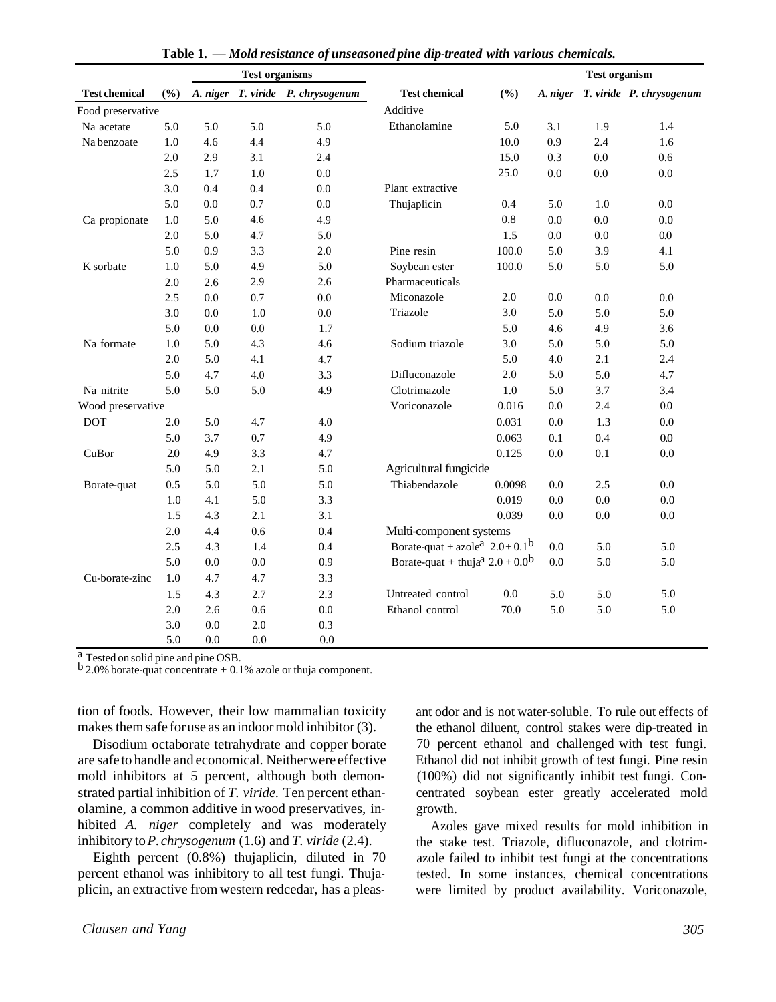|                      |     |         | <b>Test organisms</b> |                                   | <b>Test chemical</b>                                                | (%)     | <b>Test organism</b> |         |                                   |
|----------------------|-----|---------|-----------------------|-----------------------------------|---------------------------------------------------------------------|---------|----------------------|---------|-----------------------------------|
| <b>Test chemical</b> | (%) |         |                       | A. niger T. viride P. chrysogenum |                                                                     |         |                      |         | A. niger T. viride P. chrysogenum |
| Food preservative    |     |         |                       |                                   | Additive                                                            |         |                      |         |                                   |
| Na acetate           | 5.0 | 5.0     | 5.0                   | 5.0                               | Ethanolamine                                                        | 5.0     | 3.1                  | 1.9     | 1.4                               |
| Na benzoate          | 1.0 | 4.6     | 4.4                   | 4.9                               |                                                                     | 10.0    | 0.9                  | 2.4     | 1.6                               |
|                      | 2.0 | 2.9     | 3.1                   | 2.4                               |                                                                     | 15.0    | 0.3                  | 0.0     | 0.6                               |
|                      | 2.5 | 1.7     | $1.0\,$               | $0.0\,$                           |                                                                     | 25.0    | $0.0\,$              | $0.0\,$ | 0.0                               |
|                      | 3.0 | 0.4     | 0.4                   | 0.0                               | Plant extractive                                                    |         |                      |         |                                   |
|                      | 5.0 | $0.0\,$ | 0.7                   | 0.0                               | Thujaplicin                                                         | 0.4     | 5.0                  | 1.0     | 0.0                               |
| Ca propionate        | 1.0 | 5.0     | 4.6                   | 4.9                               |                                                                     | $0.8\,$ | 0.0                  | 0.0     | 0.0                               |
|                      | 2.0 | 5.0     | 4.7                   | 5.0                               |                                                                     | 1.5     | 0.0                  | 0.0     | 0.0                               |
|                      | 5.0 | 0.9     | 3.3                   | 2.0                               | Pine resin                                                          | 100.0   | 5.0                  | 3.9     | 4.1                               |
| K sorbate            | 1.0 | 5.0     | 4.9                   | 5.0                               | Soybean ester                                                       | 100.0   | 5.0                  | 5.0     | 5.0                               |
|                      | 2.0 | 2.6     | 2.9                   | 2.6                               | Pharmaceuticals                                                     |         |                      |         |                                   |
|                      | 2.5 | 0.0     | 0.7                   | 0.0                               | Miconazole                                                          | 2.0     | 0.0                  | 0.0     | 0.0                               |
|                      | 3.0 | 0.0     | 1.0                   | 0.0                               | Triazole                                                            | 3.0     | 5.0                  | 5.0     | 5.0                               |
|                      | 5.0 | $0.0\,$ | 0.0                   | 1.7                               |                                                                     | 5.0     | 4.6                  | 4.9     | 3.6                               |
| Na formate           | 1.0 | 5.0     | 4.3                   | 4.6                               | Sodium triazole                                                     | 3.0     | 5.0                  | 5.0     | 5.0                               |
|                      | 2.0 | 5.0     | 4.1                   | 4.7                               |                                                                     | 5.0     | 4.0                  | 2.1     | 2.4                               |
|                      | 5.0 | 4.7     | 4.0                   | 3.3                               | Difluconazole                                                       | $2.0\,$ | 5.0                  | 5.0     | 4.7                               |
| Na nitrite           | 5.0 | 5.0     | 5.0                   | 4.9                               | Clotrimazole                                                        | 1.0     | 5.0                  | 3.7     | 3.4                               |
| Wood preservative    |     |         |                       |                                   | Voriconazole                                                        | 0.016   | 0.0                  | 2.4     | 0.0                               |
| <b>DOT</b>           | 2.0 | 5.0     | 4.7                   | 4.0                               |                                                                     | 0.031   | 0.0                  | 1.3     | 0.0                               |
|                      | 5.0 | 3.7     | 0.7                   | 4.9                               |                                                                     | 0.063   | 0.1                  | 0.4     | 0.0                               |
| CuBor                | 2.0 | 4.9     | 3.3                   | 4.7                               |                                                                     | 0.125   | 0.0                  | 0.1     | 0.0                               |
|                      | 5.0 | 5.0     | 2.1                   | 5.0                               | Agricultural fungicide                                              |         |                      |         |                                   |
| Borate-quat          | 0.5 | 5.0     | 5.0                   | 5.0                               | Thiabendazole                                                       | 0.0098  | 0.0                  | 2.5     | 0.0                               |
|                      | 1.0 | 4.1     | 5.0                   | 3.3                               |                                                                     | 0.019   | 0.0                  | 0.0     | $0.0\,$                           |
|                      | 1.5 | 4.3     | 2.1                   | 3.1                               |                                                                     | 0.039   | 0.0                  | 0.0     | $0.0\,$                           |
|                      | 2.0 | 4.4     | 0.6                   | 0.4                               | Multi-component systems                                             |         |                      |         |                                   |
|                      | 2.5 | 4.3     | 1.4                   | 0.4                               | Borate-quat + azole <sup>a</sup> $2.0+0.1^b$                        |         | 0.0                  | 5.0     | 5.0                               |
|                      | 5.0 | $0.0\,$ | 0.0                   | 0.9                               | Borate-quat + thuja <sup>a</sup> $2.0 + 0.0^b$<br>0.0<br>5.0<br>5.0 |         |                      |         |                                   |
| Cu-borate-zinc       | 1.0 | 4.7     | 4.7                   | 3.3                               |                                                                     |         |                      |         |                                   |
|                      | 1.5 | 4.3     | 2.7                   | 2.3                               | Untreated control                                                   | 0.0     | 5.0                  | 5.0     | 5.0                               |
|                      | 2.0 | 2.6     | 0.6                   | 0.0                               | Ethanol control                                                     | 70.0    | 5.0                  | 5.0     | 5.0                               |
|                      | 3.0 | 0.0     | 2.0                   | 0.3                               |                                                                     |         |                      |         |                                   |
|                      | 5.0 | 0.0     | 0.0                   | 0.0                               |                                                                     |         |                      |         |                                   |

**Table 1.** — *Mold resistance of unseasoned pine dip-treated with various chemicals.* 

a Tested on solid pine and pine OSB.

 $b$  2.0% borate-quat concentrate  $+$  0.1% azole or thuja component.

tion of foods. However, their low mammalian toxicity makes them safe for use as an indoor mold inhibitor (3).

Disodium octaborate tetrahydrate and copper borate are safe to handle and economical. Neither were effective mold inhibitors at 5 percent, although both demonstrated partial inhibition of *T. viride.* Ten percent ethanolamine, a common additive in wood preservatives, inhibited *A. niger* completely and was moderately inhibitory to *P. chrysogenum* (1.6) and *T. viride* (2.4).

Eighth percent (0.8%) thujaplicin, diluted in 70 percent ethanol was inhibitory to all test fungi. Thujaplicin, an extractive from western redcedar, has a pleasant odor and is not water-soluble. To rule out effects of the ethanol diluent, control stakes were dip-treated in 70 percent ethanol and challenged with test fungi. Ethanol did not inhibit growth of test fungi. Pine resin (100%) did not significantly inhibit test fungi. Concentrated soybean ester greatly accelerated mold growth.

Azoles gave mixed results for mold inhibition in the stake test. Triazole, difluconazole, and clotrimazole failed to inhibit test fungi at the concentrations tested. In some instances, chemical concentrations were limited by product availability. Voriconazole,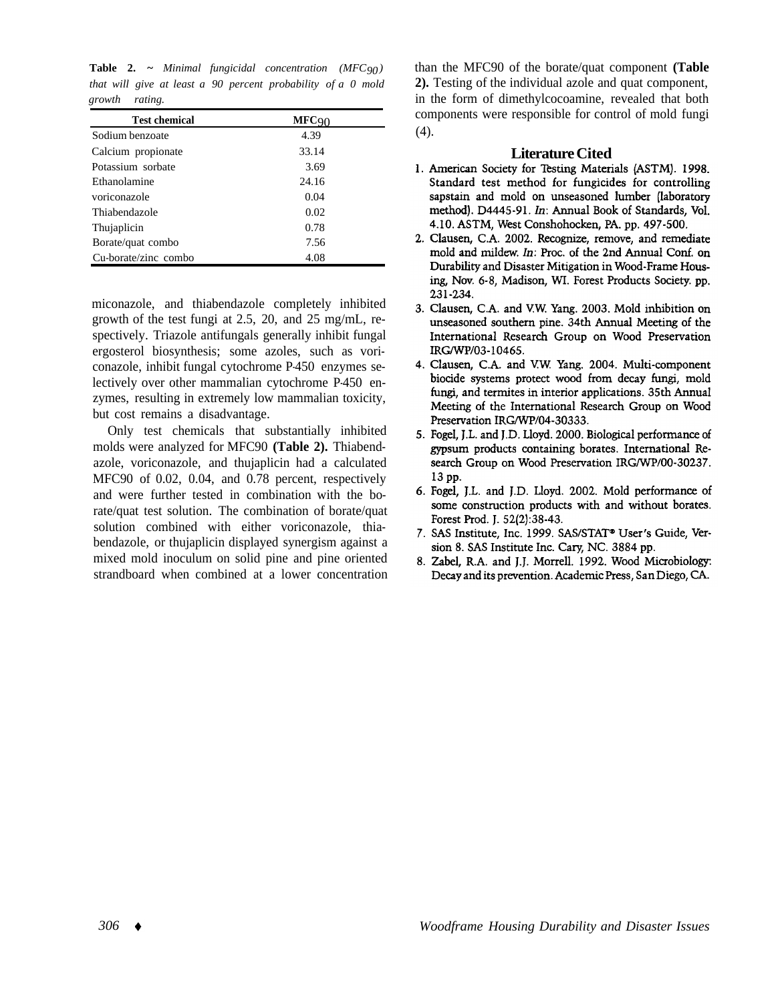**Table 2. ~** *Minimal fungicidal concentration (MFC 90 ) that will give at least a 90 percent probability of a 0 mold growth rating.* 

| <b>Test chemical</b> | <b>MFC</b> 90 |
|----------------------|---------------|
| Sodium benzoate      | 4.39          |
| Calcium propionate   | 33.14         |
| Potassium sorbate    | 3.69          |
| Ethanolamine         | 24.16         |
| voriconazole         | 0.04          |
| Thiabendazole        | 0.02          |
| Thujaplicin          | 0.78          |
| Borate/quat combo    | 7.56          |
| Cu-borate/zinc combo | 4.08          |

miconazole, and thiabendazole completely inhibited growth of the test fungi at 2.5, 20, and 25 mg/mL, respectively. Triazole antifungals generally inhibit fungal ergosterol biosynthesis; some azoles, such as voriconazole, inhibit fungal cytochrome P-450 enzymes selectively over other mammalian cytochrome P-450 enzymes, resulting in extremely low mammalian toxicity, but cost remains a disadvantage.

Only test chemicals that substantially inhibited molds were analyzed for MFC90 **(Table 2).** Thiabendazole, voriconazole, and thujaplicin had a calculated MFC90 of 0.02, 0.04, and 0.78 percent, respectively and were further tested in combination with the borate/quat test solution. The combination of borate/quat solution combined with either voriconazole, thiabendazole, or thujaplicin displayed synergism against a mixed mold inoculum on solid pine and pine oriented strandboard when combined at a lower concentration than the MFC90 of the borate/quat component **(Table 2).** Testing of the individual azole and quat component, in the form of dimethylcocoamine, revealed that both components were responsible for control of mold fungi  $(4).$ 

- **Literature Cited**<br>1. American Society for Testing Materials (ASTM). 1998. Standard test method for fungicides for controlling sapstain and mold on unseasoned lumber (laboratory method). D4445-91. In: Annual Book of Standards, Vol. 4.10. ASTM, West Conshohocken, PA, pp. 497-500.
- 2. Clausen, C.A. 2002. Recognize, remove, and remediate mold and mildew. In: Proc. of the 2nd Annual Conf. on Durability and Disaster Mitigation in Wood-Frame Housing, Nov. 6-8, Madison, WI. Forest Products Society. pp. 231-234.
- 3. Clausen, C.A. and V.W. Yang. 2003. Mold inhibition on unseasoned southern pine. 34th Annual Meeting of the International Research Group on Wood Preservation IRG/WP/03-10465.
- 4. Clausen, C.A. and V.W. Yang. 2004. Multi-component biocide systems protect wood from decay fungi, mold fungi, and termites in interior applications. 35th Annual Meeting of the International Research Group on Wood Preservation IRG/WP/04-30333.
- 5. Fogel, J.L. and J.D. Lloyd. 2000. Biological performance of gypsum products containing borates. International Research Group on Wood Preservation IRG/WP/00-30237. 13 pp.
- 6. Fogel, J.L. and J.D. Lloyd. 2002. Mold performance of some construction products with and without borates. Forest Prod. J. 52(2):38-43.
- 7. SAS Institute, Inc. 1999. SAS/STAT® User's Guide, Version 8. SAS Institute Inc. Cary, NC. 3884 pp.
- 8. Zabel, R.A. and J.J. Morrell. 1992. Wood Microbiology: Decay and its prevention. Academic Press, San Diego, CA.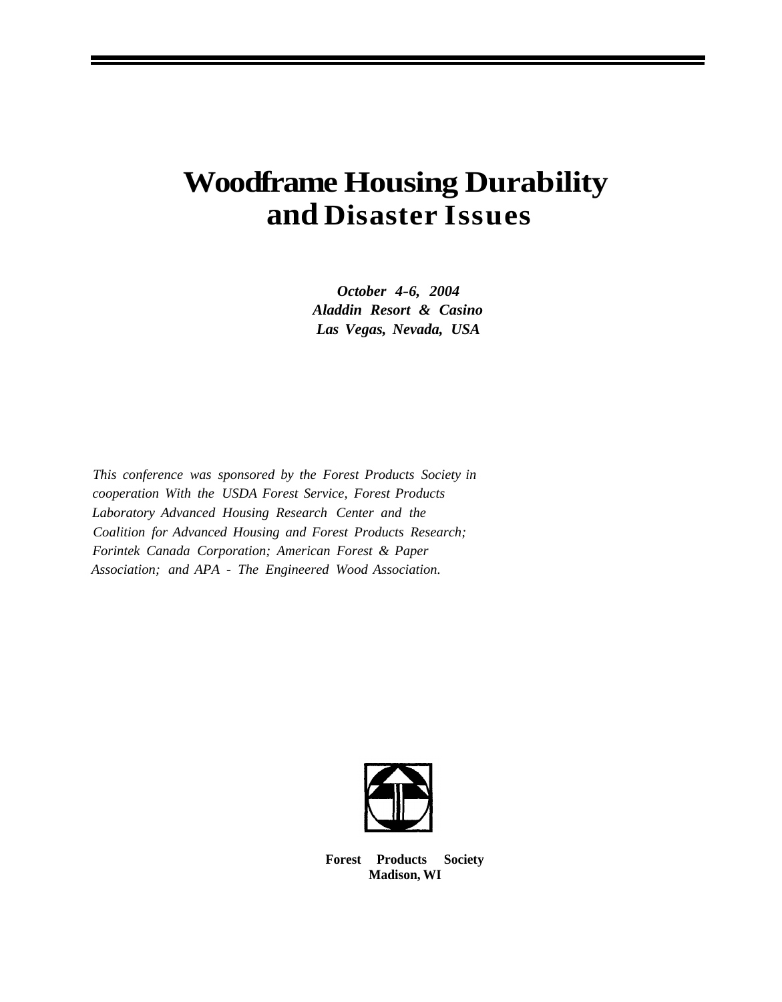# **Woodframe Housing Durability and Disaster Issues**

*October 4-6, 2004 Aladdin Resort & Casino Las Vegas, Nevada, USA* 

*This conference was sponsored by the Forest Products Society in cooperation With the USDA Forest Service, Forest Products Laboratory Advanced Housing Research Center and the Coalition for Advanced Housing and Forest Products Research; Forintek Canada Corporation; American Forest & Paper Association; and APA - The Engineered Wood Association.* 



**Forest Products Society Madison, WI**